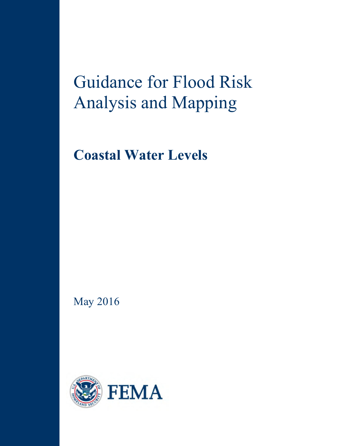# Guidance for Flood Risk Analysis and Mapping

**Coastal Water Levels**

May 2016

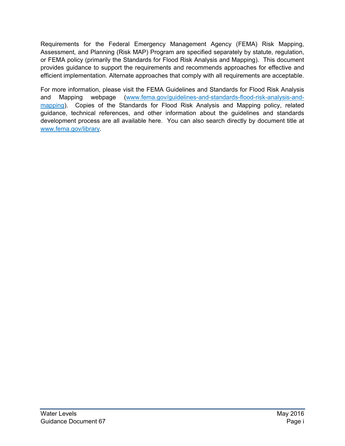Requirements for the Federal Emergency Management Agency (FEMA) Risk Mapping, Assessment, and Planning (Risk MAP) Program are specified separately by statute, regulation, or FEMA policy (primarily the Standards for Flood Risk Analysis and Mapping). This document provides guidance to support the requirements and recommends approaches for effective and efficient implementation. Alternate approaches that comply with all requirements are acceptable.

For more information, please visit the FEMA Guidelines and Standards for Flood Risk Analysis and Mapping webpage [\(www.fema.gov/guidelines-and-standards-flood-risk-analysis-and](http://www.fema.gov/guidelines-and-standards-flood-risk-analysis-and-mapping)[mapping\)](http://www.fema.gov/guidelines-and-standards-flood-risk-analysis-and-mapping). Copies of the Standards for Flood Risk Analysis and Mapping policy, related guidance, technical references, and other information about the guidelines and standards development process are all available here. You can also search directly by document title at [www.fema.gov/library.](http://www.fema.gov/library)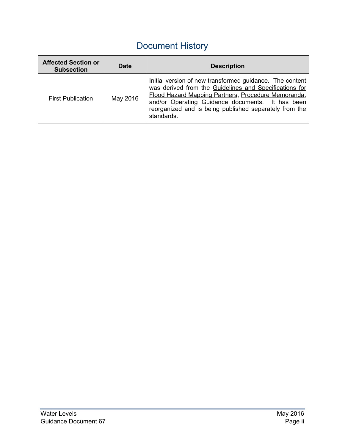# Document History

| <b>Affected Section or</b><br><b>Subsection</b> | <b>Date</b> | <b>Description</b>                                                                                                                                                                                                                                                                                    |
|-------------------------------------------------|-------------|-------------------------------------------------------------------------------------------------------------------------------------------------------------------------------------------------------------------------------------------------------------------------------------------------------|
| <b>First Publication</b>                        | May 2016    | Initial version of new transformed guidance. The content<br>was derived from the Guidelines and Specifications for<br>Flood Hazard Mapping Partners, Procedure Memoranda,<br>and/or Operating Guidance documents. It has been<br>reorganized and is being published separately from the<br>standards. |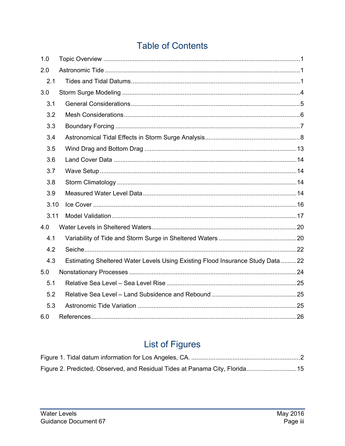# **Table of Contents**

| 1.0  |                                                                                |  |
|------|--------------------------------------------------------------------------------|--|
| 2.0  |                                                                                |  |
| 2.1  |                                                                                |  |
| 3.0  |                                                                                |  |
| 3.1  |                                                                                |  |
| 3.2  |                                                                                |  |
| 3.3  |                                                                                |  |
| 3.4  |                                                                                |  |
| 3.5  |                                                                                |  |
| 3.6  |                                                                                |  |
| 3.7  |                                                                                |  |
| 3.8  |                                                                                |  |
| 3.9  |                                                                                |  |
| 3.10 |                                                                                |  |
| 3.11 |                                                                                |  |
| 4.0  |                                                                                |  |
| 4.1  |                                                                                |  |
| 4.2  |                                                                                |  |
| 4.3  | Estimating Sheltered Water Levels Using Existing Flood Insurance Study Data 22 |  |
| 5.0  |                                                                                |  |
| 5.1  |                                                                                |  |
| 5.2  |                                                                                |  |
| 5.3  |                                                                                |  |
| 6.0  |                                                                                |  |

# **List of Figures**

| Figure 2. Predicted, Observed, and Residual Tides at Panama City, Florida 15 |  |
|------------------------------------------------------------------------------|--|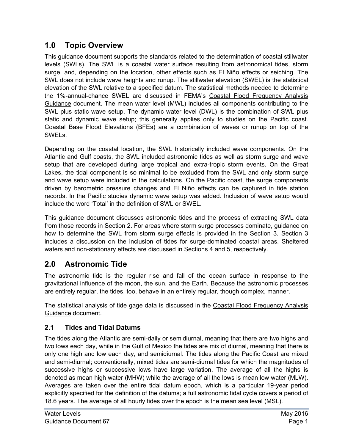## <span id="page-4-0"></span>**1.0 Topic Overview**

This guidance document supports the standards related to the determination of coastal stillwater levels (SWLs). The SWL is a coastal water surface resulting from astronomical tides, storm surge, and, depending on the location, other effects such as El Niño effects or seiching. The SWL does not include wave heights and runup. The stillwater elevation (SWEL) is the statistical elevation of the SWL relative to a specified datum. The statistical methods needed to determine the 1%-annual-chance SWEL are discussed in FEMA's Coastal Flood Frequency Analysis Guidance document. The mean water level (MWL) includes all components contributing to the SWL plus static wave setup. The dynamic water level (DWL) is the combination of SWL plus static and dynamic wave setup; this generally applies only to studies on the Pacific coast. Coastal Base Flood Elevations (BFEs) are a combination of waves or runup on top of the SWELs.

Depending on the coastal location, the SWL historically included wave components. On the Atlantic and Gulf coasts, the SWL included astronomic tides as well as storm surge and wave setup that are developed during large tropical and extra-tropic storm events. On the Great Lakes, the tidal component is so minimal to be excluded from the SWL and only storm surge and wave setup were included in the calculations. On the Pacific coast, the surge components driven by barometric pressure changes and El Niño effects can be captured in tide station records. In the Pacific studies dynamic wave setup was added. Inclusion of wave setup would include the word 'Total' in the definition of SWL or SWEL.

This guidance document discusses astronomic tides and the process of extracting SWL data from those records in Section 2. For areas where storm surge processes dominate, guidance on how to determine the SWL from storm surge effects is provided in the Section 3. Section 3 includes a discussion on the inclusion of tides for surge-dominated coastal areas. Sheltered waters and non-stationary effects are discussed in Sections 4 and 5, respectively.

# <span id="page-4-1"></span>**2.0 Astronomic Tide**

The astronomic tide is the regular rise and fall of the ocean surface in response to the gravitational influence of the moon, the sun, and the Earth. Because the astronomic processes are entirely regular, the tides, too, behave in an entirely regular, though complex, manner.

The statistical analysis of tide gage data is discussed in the Coastal Flood Frequency Analysis Guidance document.

#### <span id="page-4-2"></span>**2.1 Tides and Tidal Datums**

The tides along the Atlantic are semi-daily or semidiurnal, meaning that there are two highs and two lows each day, while in the Gulf of Mexico the tides are mix of diurnal, meaning that there is only one high and low each day, and semidiurnal. The tides along the Pacific Coast are mixed and semi-diurnal; conventionally, mixed tides are semi-diurnal tides for which the magnitudes of successive highs or successive lows have large variation. The average of all the highs is denoted as mean high water (MHW) while the average of all the lows is mean low water (MLW). Averages are taken over the entire tidal datum epoch, which is a particular 19-year period explicitly specified for the definition of the datums; a full astronomic tidal cycle covers a period of 18.6 years. The average of all hourly tides over the epoch is the mean sea level (MSL).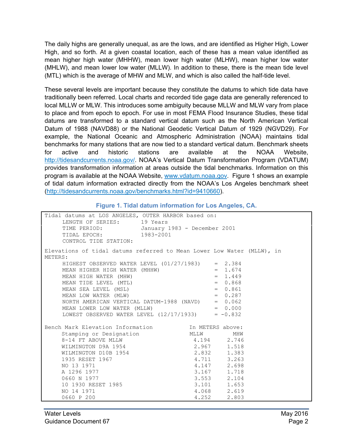The daily highs are generally unequal, as are the lows, and are identified as Higher High, Lower High, and so forth. At a given coastal location, each of these has a mean value identified as mean higher high water (MHHW), mean lower high water (MLHW), mean higher low water (MHLW), and mean lower low water (MLLW). In addition to these, there is the mean tide level (MTL) which is the average of MHW and MLW, and which is also called the half-tide level.

These several levels are important because they constitute the datums to which tide data have traditionally been referred. Local charts and recorded tide gage data are generally referenced to local MLLW or MLW. This introduces some ambiguity because MLLW and MLW vary from place to place and from epoch to epoch. For use in most FEMA Flood Insurance Studies, these tidal datums are transformed to a standard vertical datum such as the North American Vertical Datum of 1988 (NAVD88) or the National Geodetic Vertical Datum of 1929 (NGVD29). For example, the National Oceanic and Atmospheric Administration (NOAA) maintains tidal benchmarks for many stations that are now tied to a standard vertical datum. Benchmark sheets for active and historic stations are available at the NOAA Website, [http://tidesandcurrents.noaa.gov/.](http://tidesandcurrents.noaa.gov/) NOAA's Vertical Datum Transformation Program (VDATUM) provides transformation information at areas outside the tidal benchmarks. Information on this program is available at the NOAA Website, [www.vdatum.noaa.gov.](http://www.vdatum.noaa.gov/) Figure 1 shows an example of tidal datum information extracted directly from the NOAA's Los Angeles benchmark sheet [\(http://tidesandcurrents.noaa.gov/benchmarks.html?id=9410660\)](http://tidesandcurrents.noaa.gov/benchmarks.html?id=9410660).

<span id="page-5-0"></span>

| Tidal datums at LOS ANGELES, OUTER HARBOR based on:<br>LENGTH OF SERIES: 19 Years<br>TIME PERIOD: January 1983 - December 2001<br>TIDAL EPOCH: 1983-2001<br>CONTROL TIDE STATION:                                                                                                                                                                                                                                                            |             |             |  |
|----------------------------------------------------------------------------------------------------------------------------------------------------------------------------------------------------------------------------------------------------------------------------------------------------------------------------------------------------------------------------------------------------------------------------------------------|-------------|-------------|--|
| Elevations of tidal datums referred to Mean Lower Low Water (MLLW), in<br>METERS:<br>HIGHEST OBSERVED WATER LEVEL $(01/27/1983)$ = 2.384<br>MEAN HIGHER HIGH WATER (MHHW) = $1.674$<br>MEAN HIGHER MATER (MHW) = $1.449$<br>MEAN TIDE LEVEL (MTL) = 0.868<br>MEAN SEA LEVEL (MSL) = 0.861<br>MEAN LOW WATER (MLW) = 0.287<br>NORTH AMERICAN VERTICAL DATUM-1988 (NAVD) = 0.062<br>MEA<br>LOWEST OBSERVED WATER LEVEL $(12/17/1933)$ = -0.832 |             |             |  |
| Bench Mark Elevation Information [11] In METERS above:                                                                                                                                                                                                                                                                                                                                                                                       |             |             |  |
| Stamping or Designation MLLW MHW                                                                                                                                                                                                                                                                                                                                                                                                             |             |             |  |
|                                                                                                                                                                                                                                                                                                                                                                                                                                              |             |             |  |
|                                                                                                                                                                                                                                                                                                                                                                                                                                              |             |             |  |
|                                                                                                                                                                                                                                                                                                                                                                                                                                              |             |             |  |
|                                                                                                                                                                                                                                                                                                                                                                                                                                              |             |             |  |
|                                                                                                                                                                                                                                                                                                                                                                                                                                              |             |             |  |
|                                                                                                                                                                                                                                                                                                                                                                                                                                              |             |             |  |
|                                                                                                                                                                                                                                                                                                                                                                                                                                              |             |             |  |
| Stamping or Designation<br>8-14 FT ABOVE MLLW 4.194 2.746<br>WILMINGTON D9A 1954 2.832 1.518<br>MILMINGTON D10B 1954 2.832 1.383<br>1935 RESET 1967 4.711 3.263<br>A 1296 1977 3.167 1.718<br>0660 N 1977 3.553 2.104<br>10 1930 RESET 1985                                                                                                                                                                                                  |             |             |  |
| NO 14 1971                                                                                                                                                                                                                                                                                                                                                                                                                                   |             | 4.068 2.619 |  |
| 0660 P 200                                                                                                                                                                                                                                                                                                                                                                                                                                   | 4.252 2.803 |             |  |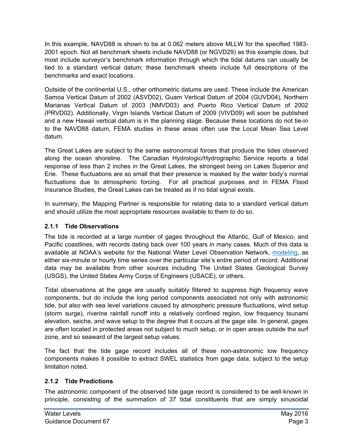In this example, NAVD88 is shown to be at 0.062 meters above MLLW for the specified 1983- 2001 epoch. Not all benchmark sheets include NAVD88 (or NGVD29) as this example does, but most include surveyor's benchmark information through which the tidal datums can usually be tied to a standard vertical datum; these benchmark sheets include full descriptions of the benchmarks and exact locations.

Outside of the continental U.S., other orthometric datums are used. These include the American Samoa Vertical Datum of 2002 (ASVD02), Guam Vertical Datum of 2004 (GUVD04), Northern Marianas Vertical Datum of 2003 (NMVD03) and Puerto Rico Vertical Datum of 2002 (PRVD02). Additionally, Virgin Islands Vertical Datum of 2009 (VIVD09) will soon be published and a new Hawaii vertical datum is in the planning stage. Because these locations do not tie-in to the NAVD88 datum, FEMA studies in these areas often use the Local Mean Sea Level datum.

The Great Lakes are subject to the same astronomical forces that produce the tides observed along the ocean shoreline. The Canadian Hydrologic/Hydrographic Service reports a tidal response of less than 2 inches in the Great Lakes, the strongest being on Lakes Superior and Erie. These fluctuations are so small that their presence is masked by the water body's normal fluctuations due to atmospheric forcing. For all practical purposes and in FEMA Flood Insurance Studies, the Great Lakes can be treated as if no tidal signal exists.

In summary, the Mapping Partner is responsible for relating data to a standard vertical datum and should utilize the most appropriate resources available to them to do so.

#### **2.1.1 Tide Observations**

The tide is recorded at a large number of gages throughout the Atlantic, Gulf of Mexico, and Pacific coastlines, with records dating back over 100 years in many cases. Much of this data is available at NOAA's website for the National Water Level Observation Network[, modeling](http://tidesandcurrents.noaa.gov/), as either six-minute or hourly time series over the particular site's entire period of record. Additional data may be available from other sources including The United States Geological Survey (USGS), the United States Army Corps of Engineers (USACE), or others.

Tidal observations at the gage are usually suitably filtered to suppress high frequency wave components, but do include the long period components associated not only with astronomic tide, but also with sea level variations caused by atmospheric pressure fluctuations, wind setup (storm surge), riverine rainfall runoff into a relatively confined region, low frequency tsunami elevation, seiche, and wave setup to the degree that it occurs at the gage site. In general, gages are often located in protected areas not subject to much setup, or in open areas outside the surf zone, and so seaward of the largest setup values.

The fact that the tide gage record includes all of these non-astronomic low frequency components makes it possible to extract SWEL statistics from gage data, subject to the setup limitation noted.

#### **2.1.2 Tide Predictions**

The astronomic component of the observed tide gage record is considered to be well-known in principle, consisting of the summation of 37 tidal constituents that are simply sinusoidal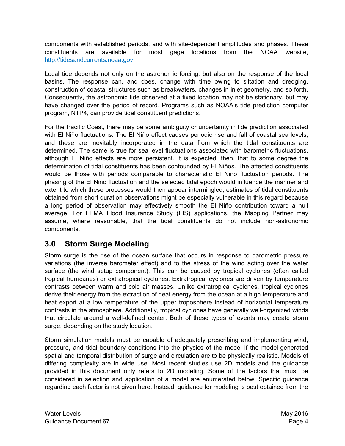components with established periods, and with site-dependent amplitudes and phases. These constituents are available for most gage locations from the NOAA website, [http://tidesandcurrents.noaa.gov.](http://tidesandcurrents.noaa.gov/)

Local tide depends not only on the astronomic forcing, but also on the response of the local basins. The response can, and does, change with time owing to siltation and dredging, construction of coastal structures such as breakwaters, changes in inlet geometry, and so forth. Consequently, the astronomic tide observed at a fixed location may not be stationary, but may have changed over the period of record. Programs such as NOAA's tide prediction computer program, NTP4, can provide tidal constituent predictions.

For the Pacific Coast, there may be some ambiguity or uncertainty in tide prediction associated with El Niño fluctuations. The El Niño effect causes periodic rise and fall of coastal sea levels, and these are inevitably incorporated in the data from which the tidal constituents are determined. The same is true for sea level fluctuations associated with barometric fluctuations, although El Niño effects are more persistent. It is expected, then, that to some degree the determination of tidal constituents has been confounded by El Niños. The affected constituents would be those with periods comparable to characteristic El Niño fluctuation periods. The phasing of the El Niño fluctuation and the selected tidal epoch would influence the manner and extent to which these processes would then appear intermingled; estimates of tidal constituents obtained from short duration observations might be especially vulnerable in this regard because a long period of observation may effectively smooth the El Niño contribution toward a null average. For FEMA Flood Insurance Study (FIS) applications, the Mapping Partner may assume, where reasonable, that the tidal constituents do not include non-astronomic components.

# <span id="page-7-0"></span>**3.0 Storm Surge Modeling**

Storm surge is the rise of the ocean surface that occurs in response to barometric pressure variations (the inverse barometer effect) and to the stress of the wind acting over the water surface (the wind setup component). This can be caused by tropical cyclones (often called tropical hurricanes) or extratropical cyclones. Extratropical cyclones are driven by temperature contrasts between warm and cold air masses. Unlike extratropical cyclones, tropical cyclones derive their energy from the extraction of heat energy from the ocean at a high temperature and heat export at a low temperature of the upper troposphere instead of horizontal temperature contrasts in the atmosphere. Additionally, tropical cyclones have generally well-organized winds that circulate around a well-defined center. Both of these types of events may create storm surge, depending on the study location.

Storm simulation models must be capable of adequately prescribing and implementing wind, pressure, and tidal boundary conditions into the physics of the model if the model-generated spatial and temporal distribution of surge and circulation are to be physically realistic. Models of differing complexity are in wide use. Most recent studies use 2D models and the guidance provided in this document only refers to 2D modeling. Some of the factors that must be considered in selection and application of a model are enumerated below. Specific guidance regarding each factor is not given here. Instead, guidance for modeling is best obtained from the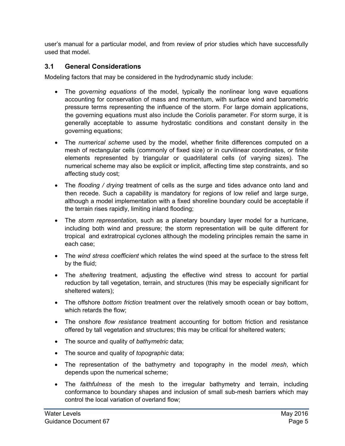user's manual for a particular model, and from review of prior studies which have successfully used that model.

#### <span id="page-8-0"></span>**3.1 General Considerations**

Modeling factors that may be considered in the hydrodynamic study include:

- The *governing equations* of the model, typically the nonlinear long wave equations accounting for conservation of mass and momentum, with surface wind and barometric pressure terms representing the influence of the storm. For large domain applications, the governing equations must also include the Coriolis parameter. For storm surge, it is generally acceptable to assume hydrostatic conditions and constant density in the governing equations;
- The *numerical scheme* used by the model, whether finite differences computed on a mesh of rectangular cells (commonly of fixed size) or in curvilinear coordinates, or finite elements represented by triangular or quadrilateral cells (of varying sizes). The numerical scheme may also be explicit or implicit, affecting time step constraints, and so affecting study cost;
- The *flooding / drying* treatment of cells as the surge and tides advance onto land and then recede. Such a capability is mandatory for regions of low relief and large surge, although a model implementation with a fixed shoreline boundary could be acceptable if the terrain rises rapidly, limiting inland flooding;
- The *storm representation*, such as a planetary boundary layer model for a hurricane, including both wind and pressure; the storm representation will be quite different for tropical and extratropical cyclones although the modeling principles remain the same in each case;
- The *wind stress coefficient* which relates the wind speed at the surface to the stress felt by the fluid;
- The *sheltering* treatment, adjusting the effective wind stress to account for partial reduction by tall vegetation, terrain, and structures (this may be especially significant for sheltered waters);
- The offshore *bottom friction* treatment over the relatively smooth ocean or bay bottom, which retards the flow;
- The onshore *flow resistance* treatment accounting for bottom friction and resistance offered by tall vegetation and structures; this may be critical for sheltered waters;
- The source and quality of *bathymetric* data;
- The source and quality of *topographic* data;
- The representation of the bathymetry and topography in the model *mesh*, which depends upon the numerical scheme;
- The *faithfulness* of the mesh to the irregular bathymetry and terrain, including conformance to boundary shapes and inclusion of small sub-mesh barriers which may control the local variation of overland flow;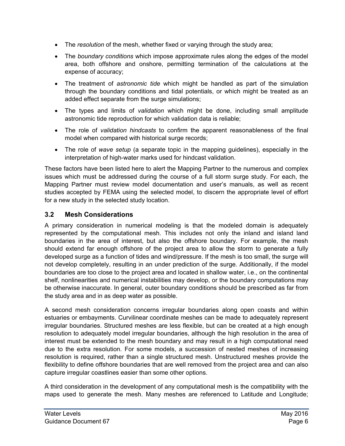- The *resolution* of the mesh, whether fixed or varying through the study area;
- The *boundary conditions* which impose approximate rules along the edges of the model area, both offshore and onshore, permitting termination of the calculations at the expense of accuracy;
- The treatment of *astronomic tide* which might be handled as part of the simulation through the boundary conditions and tidal potentials, or which might be treated as an added effect separate from the surge simulations;
- The types and limits of *validation* which might be done, including small amplitude astronomic tide reproduction for which validation data is reliable;
- The role of *validation hindcasts* to confirm the apparent reasonableness of the final model when compared with historical surge records;
- The role of *wave setup* (a separate topic in the mapping guidelines), especially in the interpretation of high-water marks used for hindcast validation.

These factors have been listed here to alert the Mapping Partner to the numerous and complex issues which must be addressed during the course of a full storm surge study. For each, the Mapping Partner must review model documentation and user's manuals, as well as recent studies accepted by FEMA using the selected model, to discern the appropriate level of effort for a new study in the selected study location.

#### <span id="page-9-0"></span>**3.2 Mesh Considerations**

A primary consideration in numerical modeling is that the modeled domain is adequately represented by the computational mesh. This includes not only the inland and island land boundaries in the area of interest, but also the offshore boundary. For example, the mesh should extend far enough offshore of the project area to allow the storm to generate a fully developed surge as a function of tides and wind/pressure. If the mesh is too small, the surge will not develop completely, resulting in an under prediction of the surge. Additionally, if the model boundaries are too close to the project area and located in shallow water, i.e., on the continental shelf, nonlinearities and numerical instabilities may develop, or the boundary computations may be otherwise inaccurate. In general, outer boundary conditions should be prescribed as far from the study area and in as deep water as possible.

A second mesh consideration concerns irregular boundaries along open coasts and within estuaries or embayments. Curvilinear coordinate meshes can be made to adequately represent irregular boundaries. Structured meshes are less flexible, but can be created at a high enough resolution to adequately model irregular boundaries, although the high resolution in the area of interest must be extended to the mesh boundary and may result in a high computational need due to the extra resolution. For some models, a succession of nested meshes of increasing resolution is required, rather than a single structured mesh. Unstructured meshes provide the flexibility to define offshore boundaries that are well removed from the project area and can also capture irregular coastlines easier than some other options.

A third consideration in the development of any computational mesh is the compatibility with the maps used to generate the mesh. Many meshes are referenced to Latitude and Longitude;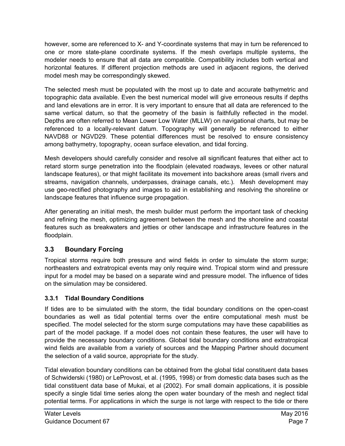however, some are referenced to X- and Y-coordinate systems that may in turn be referenced to one or more state-plane coordinate systems. If the mesh overlaps multiple systems, the modeler needs to ensure that all data are compatible. Compatibility includes both vertical and horizontal features. If different projection methods are used in adjacent regions, the derived model mesh may be correspondingly skewed.

The selected mesh must be populated with the most up to date and accurate bathymetric and topographic data available. Even the best numerical model will give erroneous results if depths and land elevations are in error. It is very important to ensure that all data are referenced to the same vertical datum, so that the geometry of the basin is faithfully reflected in the model. Depths are often referred to Mean Lower Low Water (MLLW) on navigational charts, but may be referenced to a locally-relevant datum. Topography will generally be referenced to either NAVD88 or NGVD29. These potential differences must be resolved to ensure consistency among bathymetry, topography, ocean surface elevation, and tidal forcing.

Mesh developers should carefully consider and resolve all significant features that either act to retard storm surge penetration into the floodplain (elevated roadways, levees or other natural landscape features), or that might facilitate its movement into backshore areas (small rivers and streams, navigation channels, underpasses, drainage canals, etc.). Mesh development may use geo-rectified photography and images to aid in establishing and resolving the shoreline or landscape features that influence surge propagation.

After generating an initial mesh, the mesh builder must perform the important task of checking and refining the mesh, optimizing agreement between the mesh and the shoreline and coastal features such as breakwaters and jetties or other landscape and infrastructure features in the floodplain.

#### <span id="page-10-0"></span>**3.3 Boundary Forcing**

Tropical storms require both pressure and wind fields in order to simulate the storm surge; northeasters and extratropical events may only require wind. Tropical storm wind and pressure input for a model may be based on a separate wind and pressure model. The influence of tides on the simulation may be considered.

#### **3.3.1 Tidal Boundary Conditions**

If tides are to be simulated with the storm, the tidal boundary conditions on the open-coast boundaries as well as tidal potential terms over the entire computational mesh must be specified. The model selected for the storm surge computations may have these capabilities as part of the model package. If a model does not contain these features, the user will have to provide the necessary boundary conditions. Global tidal boundary conditions and extratropical wind fields are available from a variety of sources and the Mapping Partner should document the selection of a valid source, appropriate for the study.

Tidal elevation boundary conditions can be obtained from the global tidal constituent data bases of Schwiderski (1980) or LeProvost, et al. (1995, 1998) or from domestic data bases such as the tidal constituent data base of Mukai, et al (2002). For small domain applications, it is possible specify a single tidal time series along the open water boundary of the mesh and neglect tidal potential terms. For applications in which the surge is not large with respect to the tide or there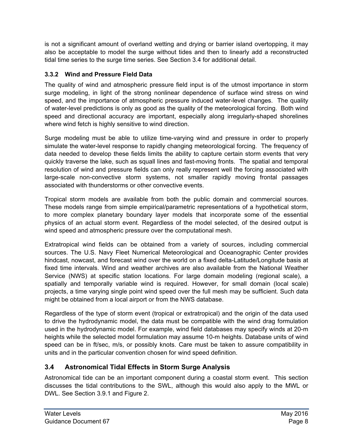is not a significant amount of overland wetting and drying or barrier island overtopping, it may also be acceptable to model the surge without tides and then to linearly add a reconstructed tidal time series to the surge time series. See Section 3.4 for additional detail.

#### **3.3.2 Wind and Pressure Field Data**

The quality of wind and atmospheric pressure field input is of the utmost importance in storm surge modeling, in light of the strong nonlinear dependence of surface wind stress on wind speed, and the importance of atmospheric pressure induced water-level changes. The quality of water-level predictions is only as good as the quality of the meteorological forcing. Both wind speed and directional accuracy are important, especially along irregularly-shaped shorelines where wind fetch is highly sensitive to wind direction.

Surge modeling must be able to utilize time-varying wind and pressure in order to properly simulate the water-level response to rapidly changing meteorological forcing. The frequency of data needed to develop these fields limits the ability to capture certain storm events that very quickly traverse the lake, such as squall lines and fast-moving fronts. The spatial and temporal resolution of wind and pressure fields can only really represent well the forcing associated with large-scale non-convective storm systems, not smaller rapidly moving frontal passages associated with thunderstorms or other convective events.

Tropical storm models are available from both the public domain and commercial sources. These models range from simple empirical/parametric representations of a hypothetical storm, to more complex planetary boundary layer models that incorporate some of the essential physics of an actual storm event. Regardless of the model selected, of the desired output is wind speed and atmospheric pressure over the computational mesh.

Extratropical wind fields can be obtained from a variety of sources, including commercial sources. The U.S. Navy Fleet Numerical Meteorological and Oceanographic Center provides hindcast, nowcast, and forecast wind over the world on a fixed delta-Latitude/Longitude basis at fixed time intervals. Wind and weather archives are also available from the National Weather Service (NWS) at specific station locations. For large domain modeling (regional scale), a spatially and temporally variable wind is required. However, for small domain (local scale) projects, a time varying single point wind speed over the full mesh may be sufficient. Such data might be obtained from a local airport or from the NWS database.

Regardless of the type of storm event (tropical or extratropical) and the origin of the data used to drive the hydrodynamic model, the data must be compatible with the wind drag formulation used in the hydrodynamic model. For example, wind field databases may specify winds at 20-m heights while the selected model formulation may assume 10-m heights. Database units of wind speed can be in ft/sec, m/s, or possibly knots. Care must be taken to assure compatibility in units and in the particular convention chosen for wind speed definition.

### <span id="page-11-0"></span>**3.4 Astronomical Tidal Effects in Storm Surge Analysis**

Astronomical tide can be an important component during a coastal storm event. This section discusses the tidal contributions to the SWL, although this would also apply to the MWL or DWL. See Section 3.9.1 and Figure 2.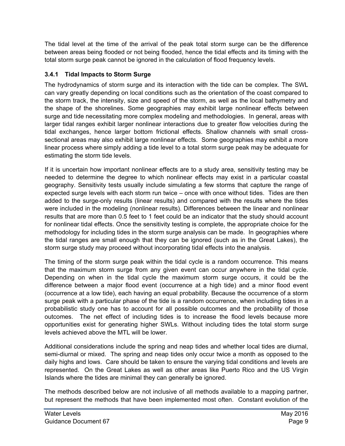The tidal level at the time of the arrival of the peak total storm surge can be the difference between areas being flooded or not being flooded, hence the tidal effects and its timing with the total storm surge peak cannot be ignored in the calculation of flood frequency levels.

#### **3.4.1 Tidal Impacts to Storm Surge**

The hydrodynamics of storm surge and its interaction with the tide can be complex. The SWL can vary greatly depending on local conditions such as the orientation of the coast compared to the storm track, the intensity, size and speed of the storm, as well as the local bathymetry and the shape of the shorelines. Some geographies may exhibit large nonlinear effects between surge and tide necessitating more complex modeling and methodologies. In general, areas with larger tidal ranges exhibit larger nonlinear interactions due to greater flow velocities during the tidal exchanges, hence larger bottom frictional effects. Shallow channels with small crosssectional areas may also exhibit large nonlinear effects. Some geographies may exhibit a more linear process where simply adding a tide level to a total storm surge peak may be adequate for estimating the storm tide levels.

If it is uncertain how important nonlinear effects are to a study area, sensitivity testing may be needed to determine the degree to which nonlinear effects may exist in a particular coastal geography. Sensitivity tests usually include simulating a few storms that capture the range of expected surge levels with each storm run twice – once with once without tides. Tides are then added to the surge-only results (linear results) and compared with the results where the tides were included in the modeling (nonlinear results). Differences between the linear and nonlinear results that are more than 0.5 feet to 1 feet could be an indicator that the study should account for nonlinear tidal effects. Once the sensitivity testing is complete, the appropriate choice for the methodology for including tides in the storm surge analysis can be made. In geographies where the tidal ranges are small enough that they can be ignored (such as in the Great Lakes), the storm surge study may proceed without incorporating tidal effects into the analysis.

The timing of the storm surge peak within the tidal cycle is a random occurrence. This means that the maximum storm surge from any given event can occur anywhere in the tidal cycle. Depending on when in the tidal cycle the maximum storm surge occurs, it could be the difference between a major flood event (occurrence at a high tide) and a minor flood event (occurrence at a low tide), each having an equal probability. Because the occurrence of a storm surge peak with a particular phase of the tide is a random occurrence, when including tides in a probabilistic study one has to account for all possible outcomes and the probability of those outcomes. The net effect of including tides is to increase the flood levels because more opportunities exist for generating higher SWLs. Without including tides the total storm surge levels achieved above the MTL will be lower.

Additional considerations include the spring and neap tides and whether local tides are diurnal, semi-diurnal or mixed. The spring and neap tides only occur twice a month as opposed to the daily highs and lows. Care should be taken to ensure the varying tidal conditions and levels are represented. On the Great Lakes as well as other areas like Puerto Rico and the US Virgin Islands where the tides are minimal they can generally be ignored.

The methods described below are not inclusive of all methods available to a mapping partner, but represent the methods that have been implemented most often. Constant evolution of the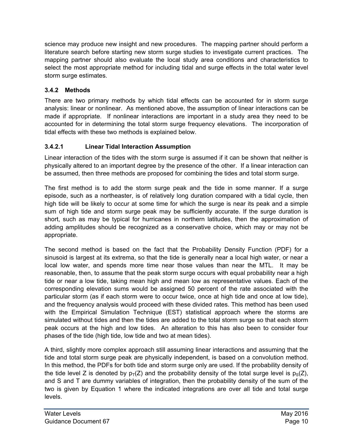science may produce new insight and new procedures. The mapping partner should perform a literature search before starting new storm surge studies to investigate current practices. The mapping partner should also evaluate the local study area conditions and characteristics to select the most appropriate method for including tidal and surge effects in the total water level storm surge estimates.

#### **3.4.2 Methods**

There are two primary methods by which tidal effects can be accounted for in storm surge analysis: linear or nonlinear. As mentioned above, the assumption of linear interactions can be made if appropriate. If nonlinear interactions are important in a study area they need to be accounted for in determining the total storm surge frequency elevations. The incorporation of tidal effects with these two methods is explained below.

#### **3.4.2.1 Linear Tidal Interaction Assumption**

Linear interaction of the tides with the storm surge is assumed if it can be shown that neither is physically altered to an important degree by the presence of the other. If a linear interaction can be assumed, then three methods are proposed for combining the tides and total storm surge.

The first method is to add the storm surge peak and the tide in some manner. If a surge episode, such as a northeaster, is of relatively long duration compared with a tidal cycle, then high tide will be likely to occur at some time for which the surge is near its peak and a simple sum of high tide and storm surge peak may be sufficiently accurate. If the surge duration is short, such as may be typical for hurricanes in northern latitudes, then the approximation of adding amplitudes should be recognized as a conservative choice, which may or may not be appropriate.

The second method is based on the fact that the Probability Density Function (PDF) for a sinusoid is largest at its extrema, so that the tide is generally near a local high water, or near a local low water, and spends more time near those values than near the MTL. It may be reasonable, then, to assume that the peak storm surge occurs with equal probability near a high tide or near a low tide, taking mean high and mean low as representative values. Each of the corresponding elevation sums would be assigned 50 percent of the rate associated with the particular storm (as if each storm were to occur twice, once at high tide and once at low tide), and the frequency analysis would proceed with these divided rates. This method has been used with the Empirical Simulation Technique (EST) statistical approach where the storms are simulated without tides and then the tides are added to the total storm surge so that each storm peak occurs at the high and low tides. An alteration to this has also been to consider four phases of the tide (high tide, low tide and two at mean tides).

A third, slightly more complex approach still assuming linear interactions and assuming that the tide and total storm surge peak are physically independent, is based on a convolution method. In this method, the PDFs for both tide and storm surge only are used. If the probability density of the tide level Z is denoted by  $p_T(Z)$  and the probability density of the total surge level is  $p_S(Z)$ , and S and T are dummy variables of integration, then the probability density of the sum of the two is given by Equation 1 where the indicated integrations are over all tide and total surge levels.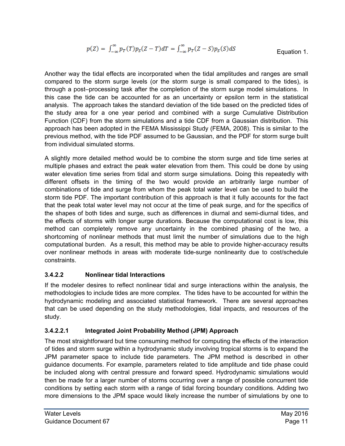$$
p(Z) = \int_{-\infty}^{\infty} p_T(T) p_S(Z - T) dT = \int_{-\infty}^{\infty} p_T(Z - S) p_S(S) dS
$$
 Equation 1.

Another way the tidal effects are incorporated when the tidal amplitudes and ranges are small compared to the storm surge levels (or the storm surge is small compared to the tides), is through a post–processing task after the completion of the storm surge model simulations. In this case the tide can be accounted for as an uncertainty or epsilon term in the statistical analysis. The approach takes the standard deviation of the tide based on the predicted tides of the study area for a one year period and combined with a surge Cumulative Distribution Function (CDF) from the storm simulations and a tide CDF from a Gaussian distribution. This approach has been adopted in the FEMA Mississippi Study (FEMA, 2008). This is similar to the previous method, with the tide PDF assumed to be Gaussian, and the PDF for storm surge built from individual simulated storms.

A slightly more detailed method would be to combine the storm surge and tide time series at multiple phases and extract the peak water elevation from them. This could be done by using water elevation time series from tidal and storm surge simulations. Doing this repeatedly with different offsets in the timing of the two would provide an arbitrarily large number of combinations of tide and surge from whom the peak total water level can be used to build the storm tide PDF. The important contribution of this approach is that it fully accounts for the fact that the peak total water level may not occur at the time of peak surge, and for the specifics of the shapes of both tides and surge, such as differences in diurnal and semi-diurnal tides, and the effects of storms with longer surge durations. Because the computational cost is low, this method can completely remove any uncertainty in the combined phasing of the two, a shortcoming of nonlinear methods that must limit the number of simulations due to the high computational burden. As a result, this method may be able to provide higher-accuracy results over nonlinear methods in areas with moderate tide-surge nonlinearity due to cost/schedule constraints.

#### **3.4.2.2 Nonlinear tidal Interactions**

If the modeler desires to reflect nonlinear tidal and surge interactions within the analysis, the methodologies to include tides are more complex. The tides have to be accounted for within the hydrodynamic modeling and associated statistical framework. There are several approaches that can be used depending on the study methodologies, tidal impacts, and resources of the study.

#### **3.4.2.2.1 Integrated Joint Probability Method (JPM) Approach**

The most straightforward but time consuming method for computing the effects of the interaction of tides and storm surge within a hydrodynamic study involving tropical storms is to expand the JPM parameter space to include tide parameters. The JPM method is described in other guidance documents. For example, parameters related to tide amplitude and tide phase could be included along with central pressure and forward speed. Hydrodynamic simulations would then be made for a larger number of storms occurring over a range of possible concurrent tide conditions by setting each storm with a range of tidal forcing boundary conditions. Adding two more dimensions to the JPM space would likely increase the number of simulations by one to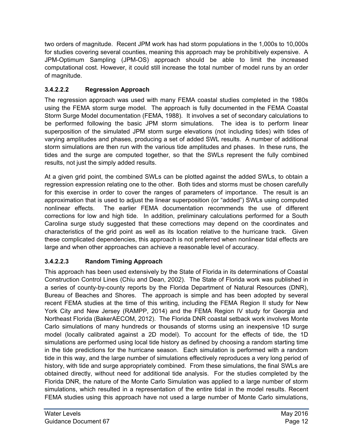two orders of magnitude. Recent JPM work has had storm populations in the 1,000s to 10,000s for studies covering several counties, meaning this approach may be prohibitively expensive. A JPM-Optimum Sampling (JPM-OS) approach should be able to limit the increased computational cost. However, it could still increase the total number of model runs by an order of magnitude.

#### **3.4.2.2.2 Regression Approach**

The regression approach was used with many FEMA coastal studies completed in the 1980s using the FEMA storm surge model. The approach is fully documented in the FEMA Coastal Storm Surge Model documentation (FEMA, 1988). It involves a set of secondary calculations to be performed following the basic JPM storm simulations. The idea is to perform linear superposition of the simulated JPM storm surge elevations (not including tides) with tides of varying amplitudes and phases, producing a set of added SWL results. A number of additional storm simulations are then run with the various tide amplitudes and phases. In these runs, the tides and the surge are computed together, so that the SWLs represent the fully combined results, not just the simply added results.

At a given grid point, the combined SWLs can be plotted against the added SWLs, to obtain a regression expression relating one to the other. Both tides and storms must be chosen carefully for this exercise in order to cover the ranges of parameters of importance. The result is an approximation that is used to adjust the linear superposition (or "added") SWLs using computed nonlinear effects. The earlier FEMA documentation recommends the use of different corrections for low and high tide. In addition, preliminary calculations performed for a South Carolina surge study suggested that these corrections may depend on the coordinates and characteristics of the grid point as well as its location relative to the hurricane track. Given these complicated dependencies, this approach is not preferred when nonlinear tidal effects are large and when other approaches can achieve a reasonable level of accuracy.

#### **3.4.2.2.3 Random Timing Approach**

This approach has been used extensively by the State of Florida in its determinations of Coastal Construction Control Lines (Chiu and Dean, 2002). The State of Florida work was published in a series of county-by-county reports by the Florida Department of Natural Resources (DNR), Bureau of Beaches and Shores. The approach is simple and has been adopted by several recent FEMA studies at the time of this writing, including the FEMA Region II study for New York City and New Jersey (RAMPP, 2014) and the FEMA Region IV study for Georgia and Northeast Florida (BakerAECOM, 2012). The Florida DNR coastal setback work involves Monte Carlo simulations of many hundreds or thousands of storms using an inexpensive 1D surge model (locally calibrated against a 2D model). To account for the effects of tide, the 1D simulations are performed using local tide history as defined by choosing a random starting time in the tide predictions for the hurricane season. Each simulation is performed with a random tide in this way, and the large number of simulations effectively reproduces a very long period of history, with tide and surge appropriately combined. From these simulations, the final SWLs are obtained directly, without need for additional tide analysis. For the studies completed by the Florida DNR, the nature of the Monte Carlo Simulation was applied to a large number of storm simulations, which resulted in a representation of the entire tidal in the model results. Recent FEMA studies using this approach have not used a large number of Monte Carlo simulations,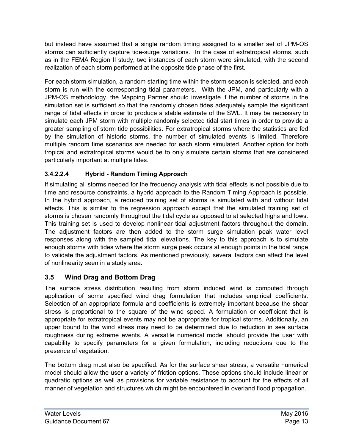but instead have assumed that a single random timing assigned to a smaller set of JPM-OS storms can sufficiently capture tide-surge variations. In the case of extratropical storms, such as in the FEMA Region II study, two instances of each storm were simulated, with the second realization of each storm performed at the opposite tide phase of the first.

For each storm simulation, a random starting time within the storm season is selected, and each storm is run with the corresponding tidal parameters. With the JPM, and particularly with a JPM-OS methodology, the Mapping Partner should investigate if the number of storms in the simulation set is sufficient so that the randomly chosen tides adequately sample the significant range of tidal effects in order to produce a stable estimate of the SWL. It may be necessary to simulate each JPM storm with multiple randomly selected tidal start times in order to provide a greater sampling of storm tide possibilities. For extratropical storms where the statistics are fed by the simulation of historic storms, the number of simulated events is limited. Therefore multiple random time scenarios are needed for each storm simulated. Another option for both tropical and extratropical storms would be to only simulate certain storms that are considered particularly important at multiple tides.

#### **3.4.2.2.4 Hybrid - Random Timing Approach**

If simulating all storms needed for the frequency analysis with tidal effects is not possible due to time and resource constraints, a hybrid approach to the Random Timing Approach is possible. In the hybrid approach, a reduced training set of storms is simulated with and without tidal effects. This is similar to the regression approach except that the simulated training set of storms is chosen randomly throughout the tidal cycle as opposed to at selected highs and lows. This training set is used to develop nonlinear tidal adjustment factors throughout the domain. The adjustment factors are then added to the storm surge simulation peak water level responses along with the sampled tidal elevations. The key to this approach is to simulate enough storms with tides where the storm surge peak occurs at enough points in the tidal range to validate the adjustment factors. As mentioned previously, several factors can affect the level of nonlinearity seen in a study area.

#### <span id="page-16-0"></span>**3.5 Wind Drag and Bottom Drag**

The surface stress distribution resulting from storm induced wind is computed through application of some specified wind drag formulation that includes empirical coefficients. Selection of an appropriate formula and coefficients is extremely important because the shear stress is proportional to the square of the wind speed. A formulation or coefficient that is appropriate for extratropical events may not be appropriate for tropical storms. Additionally, an upper bound to the wind stress may need to be determined due to reduction in sea surface roughness during extreme events. A versatile numerical model should provide the user with capability to specify parameters for a given formulation, including reductions due to the presence of vegetation.

The bottom drag must also be specified. As for the surface shear stress, a versatile numerical model should allow the user a variety of friction options. These options should include linear or quadratic options as well as provisions for variable resistance to account for the effects of all manner of vegetation and structures which might be encountered in overland flood propagation.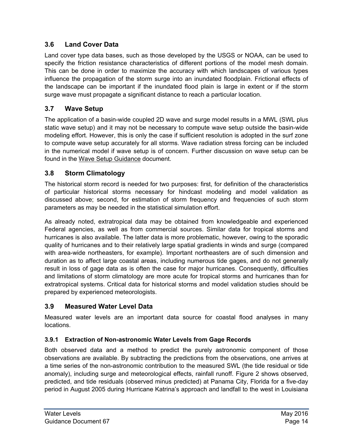#### <span id="page-17-0"></span>**3.6 Land Cover Data**

Land cover type data bases, such as those developed by the USGS or NOAA, can be used to specify the friction resistance characteristics of different portions of the model mesh domain. This can be done in order to maximize the accuracy with which landscapes of various types influence the propagation of the storm surge into an inundated floodplain. Frictional effects of the landscape can be important if the inundated flood plain is large in extent or if the storm surge wave must propagate a significant distance to reach a particular location.

#### <span id="page-17-1"></span>**3.7 Wave Setup**

The application of a basin-wide coupled 2D wave and surge model results in a MWL (SWL plus static wave setup) and it may not be necessary to compute wave setup outside the basin-wide modeling effort. However, this is only the case if sufficient resolution is adopted in the surf zone to compute wave setup accurately for all storms. Wave radiation stress forcing can be included in the numerical model if wave setup is of concern. Further discussion on wave setup can be found in the Wave Setup Guidance document.

#### <span id="page-17-2"></span>**3.8 Storm Climatology**

The historical storm record is needed for two purposes: first, for definition of the characteristics of particular historical storms necessary for hindcast modeling and model validation as discussed above; second, for estimation of storm frequency and frequencies of such storm parameters as may be needed in the statistical simulation effort.

As already noted, extratropical data may be obtained from knowledgeable and experienced Federal agencies, as well as from commercial sources. Similar data for tropical storms and hurricanes is also available. The latter data is more problematic, however, owing to the sporadic quality of hurricanes and to their relatively large spatial gradients in winds and surge (compared with area-wide northeasters, for example). Important northeasters are of such dimension and duration as to affect large coastal areas, including numerous tide gages, and do not generally result in loss of gage data as is often the case for major hurricanes. Consequently, difficulties and limitations of storm climatology are more acute for tropical storms and hurricanes than for extratropical systems. Critical data for historical storms and model validation studies should be prepared by experienced meteorologists.

#### <span id="page-17-3"></span>**3.9 Measured Water Level Data**

Measured water levels are an important data source for coastal flood analyses in many locations.

#### **3.9.1 Extraction of Non-astronomic Water Levels from Gage Records**

Both observed data and a method to predict the purely astronomic component of those observations are available. By subtracting the predictions from the observations, one arrives at a time series of the non-astronomic contribution to the measured SWL (the tide residual or tide anomaly), including surge and meteorological effects, rainfall runoff. Figure 2 shows observed, predicted, and tide residuals (observed minus predicted) at Panama City, Florida for a five-day period in August 2005 during Hurricane Katrina's approach and landfall to the west in Louisiana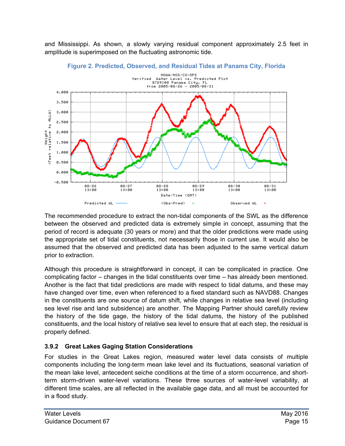and Mississippi. As shown, a slowly varying residual component approximately 2.5 feet in amplitude is superimposed on the fluctuating astronomic tide.

<span id="page-18-0"></span>



The recommended procedure to extract the non-tidal components of the SWL as the difference between the observed and predicted data is extremely simple in concept, assuming that the period of record is adequate (30 years or more) and that the older predictions were made using the appropriate set of tidal constituents, not necessarily those in current use. It would also be assumed that the observed and predicted data has been adjusted to the same vertical datum prior to extraction.

Although this procedure is straightforward in concept, it can be complicated in practice. One complicating factor – changes in the tidal constituents over time – has already been mentioned. Another is the fact that tidal predictions are made with respect to tidal datums, and these may have changed over time, even when referenced to a fixed standard such as NAVD88. Changes in the constituents are one source of datum shift, while changes in relative sea level (including sea level rise and land subsidence) are another. The Mapping Partner should carefully review the history of the tide gage, the history of the tidal datums, the history of the published constituents, and the local history of relative sea level to ensure that at each step, the residual is properly defined.

#### **3.9.2 Great Lakes Gaging Station Considerations**

For studies in the Great Lakes region, measured water level data consists of multiple components including the long-term mean lake level and its fluctuations, seasonal variation of the mean lake level, antecedent seiche conditions at the time of a storm occurrence, and shortterm storm-driven water-level variations. These three sources of water-level variability, at different time scales, are all reflected in the available gage data, and all must be accounted for in a flood study.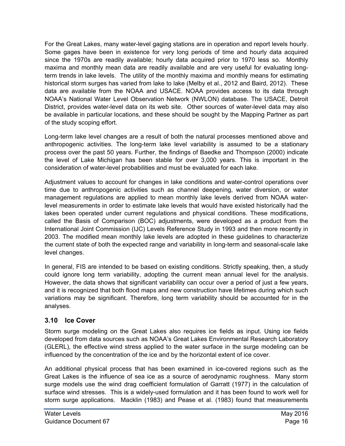For the Great Lakes, many water-level gaging stations are in operation and report levels hourly. Some gages have been in existence for very long periods of time and hourly data acquired since the 1970s are readily available; hourly data acquired prior to 1970 less so. Monthly maxima and monthly mean data are readily available and are very useful for evaluating longterm trends in lake levels. The utility of the monthly maxima and monthly means for estimating historical storm surges has varied from lake to lake (Melby et al., 2012 and Baird, 2012). These data are available from the NOAA and USACE. NOAA provides access to its data through NOAA's National Water Level Observation Network (NWLON) database. The USACE, Detroit District, provides water-level data on its web site. Other sources of water-level data may also be available in particular locations, and these should be sought by the Mapping Partner as part of the study scoping effort.

Long-term lake level changes are a result of both the natural processes mentioned above and anthropogenic activities. The long-term lake level variability is assumed to be a stationary process over the past 50 years. Further, the findings of Baedke and Thompson (2000) indicate the level of Lake Michigan has been stable for over 3,000 years. This is important in the consideration of water-level probabilities and must be evaluated for each lake.

Adjustment values to account for changes in lake conditions and water-control operations over time due to anthropogenic activities such as channel deepening, water diversion, or water management regulations are applied to mean monthly lake levels derived from NOAA waterlevel measurements in order to estimate lake levels that would have existed historically had the lakes been operated under current regulations and physical conditions. These modifications, called the Basis of Comparison (BOC) adjustments, were developed as a product from the International Joint Commission (IJC) Levels Reference Study in 1993 and then more recently in 2003. The modified mean monthly lake levels are adopted in these guidelines to characterize the current state of both the expected range and variability in long-term and seasonal-scale lake level changes.

In general, FIS are intended to be based on existing conditions. Strictly speaking, then, a study could ignore long term variability, adopting the current mean annual level for the analysis. However, the data shows that significant variability can occur over a period of just a few years, and it is recognized that both flood maps and new construction have lifetimes during which such variations may be significant. Therefore, long term variability should be accounted for in the analyses.

#### <span id="page-19-0"></span>**3.10 Ice Cover**

Storm surge modeling on the Great Lakes also requires ice fields as input. Using ice fields developed from data sources such as NOAA's Great Lakes Environmental Research Laboratory (GLERL), the effective wind stress applied to the water surface in the surge modeling can be influenced by the concentration of the ice and by the horizontal extent of ice cover.

An additional physical process that has been examined in ice-covered regions such as the Great Lakes is the influence of sea ice as a source of aerodynamic roughness. Many storm surge models use the wind drag coefficient formulation of Garratt (1977) in the calculation of surface wind stresses. This is a widely-used formulation and it has been found to work well for storm surge applications. Macklin (1983) and Pease et al. (1983) found that measurements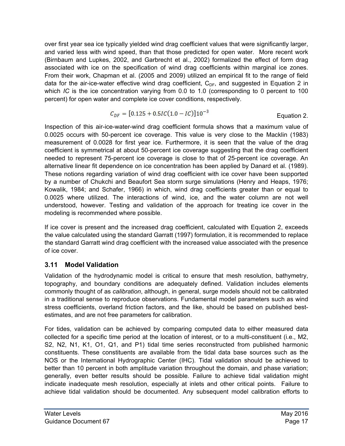over first year sea ice typically yielded wind drag coefficient values that were significantly larger, and varied less with wind speed, than that those predicted for open water. More recent work (Birnbaum and Lupkes, 2002, and Garbrecht et al., 2002) formalized the effect of form drag associated with ice on the specification of wind drag coefficients within marginal ice zones. From their work, Chapman et al. (2005 and 2009) utilized an empirical fit to the range of field data for the air-ice-water effective wind drag coefficient,  $C_{DF}$ , and suggested in Equation 2 in which *IC* is the ice concentration varying from 0.0 to 1.0 (corresponding to 0 percent to 100 percent) for open water and complete ice cover conditions, respectively.

$$
C_{DF} = [0.125 + 0.5IC(1.0 - IC)]10^{-3}
$$
 Equation 2.

Inspection of this air-ice-water-wind drag coefficient formula shows that a maximum value of 0.0025 occurs with 50-percent ice coverage. This value is very close to the Macklin (1983) measurement of 0.0028 for first year ice. Furthermore, it is seen that the value of the drag coefficient is symmetrical at about 50-percent ice coverage suggesting that the drag coefficient needed to represent 75-percent ice coverage is close to that of 25-percent ice coverage. An alternative linear fit dependence on ice concentration has been applied by Danard et al. (1989). These notions regarding variation of wind drag coefficient with ice cover have been supported by a number of Chukchi and Beaufort Sea storm surge simulations (Henry and Heaps, 1976; Kowalik, 1984; and Schafer, 1966) in which, wind drag coefficients greater than or equal to 0.0025 where utilized. The interactions of wind, ice, and the water column are not well understood, however. Testing and validation of the approach for treating ice cover in the modeling is recommended where possible.

If ice cover is present and the increased drag coefficient, calculated with Equation 2, exceeds the value calculated using the standard Garratt (1997) formulation, it is recommended to replace the standard Garratt wind drag coefficient with the increased value associated with the presence of ice cover.

#### <span id="page-20-0"></span>**3.11 Model Validation**

Validation of the hydrodynamic model is critical to ensure that mesh resolution, bathymetry, topography, and boundary conditions are adequately defined. Validation includes elements commonly thought of as *calibration*, although, in general, surge models should not be calibrated in a traditional sense to reproduce observations. Fundamental model parameters such as wind stress coefficients, overland friction factors, and the like, should be based on published bestestimates, and are not free parameters for calibration.

For tides, validation can be achieved by comparing computed data to either measured data collected for a specific time period at the location of interest, or to a multi-constituent (i.e., M2, S2, N2, N1, K1, O1, Q1, and P1) tidal time series reconstructed from published harmonic constituents. These constituents are available from the tidal data base sources such as the NOS or the International Hydrographic Center (IHC). Tidal validation should be achieved to better than 10 percent in both amplitude variation throughout the domain, and phase variation; generally, even better results should be possible. Failure to achieve tidal validation might indicate inadequate mesh resolution, especially at inlets and other critical points. Failure to achieve tidal validation should be documented. Any subsequent model calibration efforts to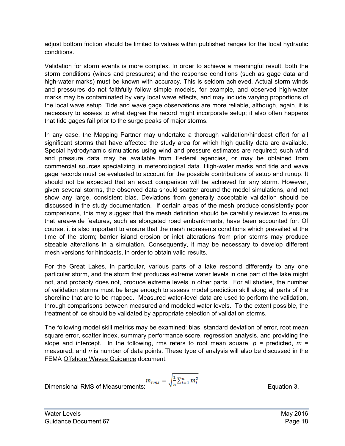adjust bottom friction should be limited to values within published ranges for the local hydraulic conditions.

Validation for storm events is more complex. In order to achieve a meaningful result, both the storm conditions (winds and pressures) and the response conditions (such as gage data and high-water marks) must be known with accuracy. This is seldom achieved. Actual storm winds and pressures do not faithfully follow simple models, for example, and observed high-water marks may be contaminated by very local wave effects, and may include varying proportions of the local wave setup. Tide and wave gage observations are more reliable, although, again, it is necessary to assess to what degree the record might incorporate setup; it also often happens that tide gages fail prior to the surge peaks of major storms.

In any case, the Mapping Partner may undertake a thorough validation/hindcast effort for all significant storms that have affected the study area for which high quality data are available. Special hydrodynamic simulations using wind and pressure estimates are required; such wind and pressure data may be available from Federal agencies, or may be obtained from commercial sources specializing in meteorological data. High-water marks and tide and wave gage records must be evaluated to account for the possible contributions of setup and runup. It should not be expected that an exact comparison will be achieved for any storm. However, given several storms, the observed data should scatter around the model simulations, and not show any large, consistent bias. Deviations from generally acceptable validation should be discussed in the study documentation. If certain areas of the mesh produce consistently poor comparisons, this may suggest that the mesh definition should be carefully reviewed to ensure that area-wide features, such as elongated road embankments, have been accounted for. Of course, it is also important to ensure that the mesh represents conditions which prevailed at the time of the storm; barrier island erosion or inlet alterations from prior storms may produce sizeable alterations in a simulation. Consequently, it may be necessary to develop different mesh versions for hindcasts, in order to obtain valid results.

For the Great Lakes, in particular, various parts of a lake respond differently to any one particular storm, and the storm that produces extreme water levels in one part of the lake might not, and probably does not, produce extreme levels in other parts. For all studies, the number of validation storms must be large enough to assess model prediction skill along all parts of the shoreline that are to be mapped. Measured water-level data are used to perform the validation, through comparisons between measured and modeled water levels. To the extent possible, the treatment of ice should be validated by appropriate selection of validation storms.

The following model skill metrics may be examined: bias, standard deviation of error, root mean square error, scatter index, summary performance score, regression analysis, and providing the slope and intercept. In the following, rms refers to root mean square,  $p =$  predicted,  $m =$ measured, and *n* is number of data points. These type of analysis will also be discussed in the FEMA Offshore Waves Guidance document.

Dimensional RMS of Measurements:  $m_{rms} = \sqrt{\frac{1}{n} \sum_{i=1}^{n} m_i^2}$  Equation 3.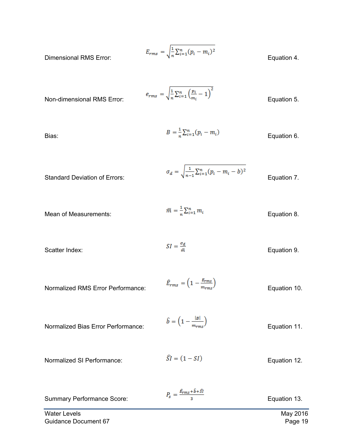$$
E_{rms} = \sqrt{\frac{1}{n} \sum_{i=1}^{n} (p_i - m_i)^2}
$$
 Equation 4.

Dimensional RMS Error:

$$
e_{rms} = \sqrt{\frac{1}{n} \sum_{i=1}^{n} \left(\frac{p_i}{m_i} - 1\right)^2}
$$
 Equation 5.

Non-dimensional RMS Error:

Bias: 
$$
B = \frac{1}{n} \sum_{i=1}^{n} (p_i - m_i)
$$
 Equation 6.

Standard Deviation of Errors:  $\sigma_d = \sqrt{\frac{1}{n-1}\sum_{i=1}^{n}(p_i - m_i - b)^2}$  Equation 7.

Mean of Measurements: 
$$
\overline{m} = \frac{1}{n} \sum_{i=1}^{n} m_i
$$
 Equation 8.

Scatter Index:

\n
$$
SI = \frac{\sigma_d}{\bar{m}}
$$
\nEquation 9.

$$
\hat{E}_{rms} = \left(1 - \frac{E_{rms}}{m_{rms}}\right)
$$
\nNormalized RMS Error Performance:

\n
$$
\hat{E}_{rms} = \left(1 - \frac{E_{rms}}{m_{rms}}\right)
$$
\nEquation 10.

$$
\hat{b} = \left(1 - \frac{|B|}{m_{rms}}\right)
$$
\nNormalized Bias Error Performance:

\n
$$
\hat{b} = \left(1 - \frac{|B|}{m_{rms}}\right)
$$
\nEquation 11.

$$
\hat{SI} = (1 - SI)
$$
   
 Normalized SI Performance:  $\hat{SI} = (1 - SI)$    
Equation 12.

| <b>Summary Performance Score:</b> | $P_s = \frac{\hat{E}_{rms} + \hat{b} + \hat{S}l}{\hat{b} + \hat{S}l}$ | Equation 13. |
|-----------------------------------|-----------------------------------------------------------------------|--------------|
| <b>Water Levels</b>               |                                                                       | May 2016     |
| Guidance Document 67              |                                                                       | Page 19      |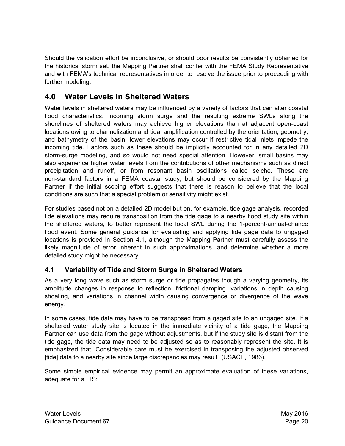Should the validation effort be inconclusive, or should poor results be consistently obtained for the historical storm set, the Mapping Partner shall confer with the FEMA Study Representative and with FEMA's technical representatives in order to resolve the issue prior to proceeding with further modeling.

# <span id="page-23-0"></span>**4.0 Water Levels in Sheltered Waters**

Water levels in sheltered waters may be influenced by a variety of factors that can alter coastal flood characteristics. Incoming storm surge and the resulting extreme SWLs along the shorelines of sheltered waters may achieve higher elevations than at adjacent open-coast locations owing to channelization and tidal amplification controlled by the orientation, geometry, and bathymetry of the basin; lower elevations may occur if restrictive tidal inlets impede the incoming tide. Factors such as these should be implicitly accounted for in any detailed 2D storm-surge modeling, and so would not need special attention. However, small basins may also experience higher water levels from the contributions of other mechanisms such as direct precipitation and runoff, or from resonant basin oscillations called seiche. These are non-standard factors in a FEMA coastal study, but should be considered by the Mapping Partner if the initial scoping effort suggests that there is reason to believe that the local conditions are such that a special problem or sensitivity might exist.

For studies based not on a detailed 2D model but on, for example, tide gage analysis, recorded tide elevations may require transposition from the tide gage to a nearby flood study site within the sheltered waters, to better represent the local SWL during the 1-percent-annual-chance flood event. Some general guidance for evaluating and applying tide gage data to ungaged locations is provided in Section 4.1, although the Mapping Partner must carefully assess the likely magnitude of error inherent in such approximations, and determine whether a more detailed study might be necessary.

#### <span id="page-23-1"></span>**4.1 Variability of Tide and Storm Surge in Sheltered Waters**

As a very long wave such as storm surge or tide propagates though a varying geometry, its amplitude changes in response to reflection, frictional damping, variations in depth causing shoaling, and variations in channel width causing convergence or divergence of the wave energy.

In some cases, tide data may have to be transposed from a gaged site to an ungaged site. If a sheltered water study site is located in the immediate vicinity of a tide gage, the Mapping Partner can use data from the gage without adjustments, but if the study site is distant from the tide gage, the tide data may need to be adjusted so as to reasonably represent the site. It is emphasized that "Considerable care must be exercised in transposing the adjusted observed [tide] data to a nearby site since large discrepancies may result" (USACE, 1986).

Some simple empirical evidence may permit an approximate evaluation of these variations, adequate for a FIS: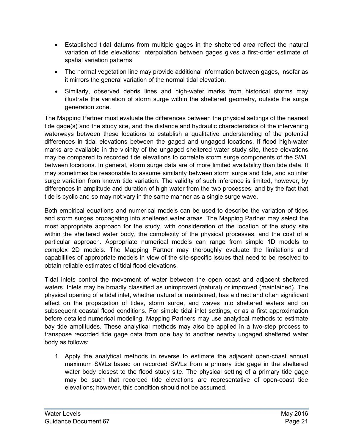- Established tidal datums from multiple gages in the sheltered area reflect the natural variation of tide elevations; interpolation between gages gives a first-order estimate of spatial variation patterns
- The normal vegetation line may provide additional information between gages, insofar as it mirrors the general variation of the normal tidal elevation.
- Similarly, observed debris lines and high-water marks from historical storms may illustrate the variation of storm surge within the sheltered geometry, outside the surge generation zone.

The Mapping Partner must evaluate the differences between the physical settings of the nearest tide gage(s) and the study site, and the distance and hydraulic characteristics of the intervening waterways between these locations to establish a qualitative understanding of the potential differences in tidal elevations between the gaged and ungaged locations. If flood high-water marks are available in the vicinity of the ungaged sheltered water study site, these elevations may be compared to recorded tide elevations to correlate storm surge components of the SWL between locations. In general, storm surge data are of more limited availability than tide data. It may sometimes be reasonable to assume similarity between storm surge and tide, and so infer surge variation from known tide variation. The validity of such inference is limited, however, by differences in amplitude and duration of high water from the two processes, and by the fact that tide is cyclic and so may not vary in the same manner as a single surge wave.

Both empirical equations and numerical models can be used to describe the variation of tides and storm surges propagating into sheltered water areas. The Mapping Partner may select the most appropriate approach for the study, with consideration of the location of the study site within the sheltered water body, the complexity of the physical processes, and the cost of a particular approach. Appropriate numerical models can range from simple 1D models to complex 2D models. The Mapping Partner may thoroughly evaluate the limitations and capabilities of appropriate models in view of the site-specific issues that need to be resolved to obtain reliable estimates of tidal flood elevations.

Tidal inlets control the movement of water between the open coast and adjacent sheltered waters. Inlets may be broadly classified as unimproved (natural) or improved (maintained). The physical opening of a tidal inlet, whether natural or maintained, has a direct and often significant effect on the propagation of tides, storm surge, and waves into sheltered waters and on subsequent coastal flood conditions. For simple tidal inlet settings, or as a first approximation before detailed numerical modeling, Mapping Partners may use analytical methods to estimate bay tide amplitudes. These analytical methods may also be applied in a two-step process to transpose recorded tide gage data from one bay to another nearby ungaged sheltered water body as follows:

1. Apply the analytical methods in reverse to estimate the adjacent open-coast annual maximum SWLs based on recorded SWLs from a primary tide gage in the sheltered water body closest to the flood study site. The physical setting of a primary tide gage may be such that recorded tide elevations are representative of open-coast tide elevations; however, this condition should not be assumed.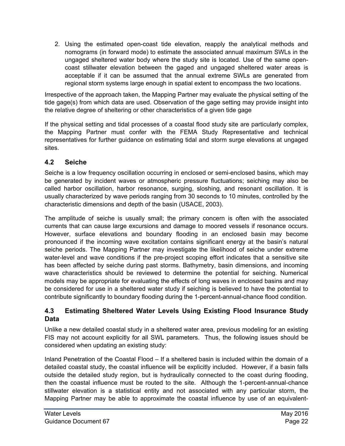2. Using the estimated open-coast tide elevation, reapply the analytical methods and nomograms (in forward mode) to estimate the associated annual maximum SWLs in the ungaged sheltered water body where the study site is located. Use of the same opencoast stillwater elevation between the gaged and ungaged sheltered water areas is acceptable if it can be assumed that the annual extreme SWLs are generated from regional storm systems large enough in spatial extent to encompass the two locations.

Irrespective of the approach taken, the Mapping Partner may evaluate the physical setting of the tide gage(s) from which data are used. Observation of the gage setting may provide insight into the relative degree of sheltering or other characteristics of a given tide gage

If the physical setting and tidal processes of a coastal flood study site are particularly complex, the Mapping Partner must confer with the FEMA Study Representative and technical representatives for further guidance on estimating tidal and storm surge elevations at ungaged sites.

#### <span id="page-25-0"></span>**4.2 Seiche**

Seiche is a low frequency oscillation occurring in enclosed or semi-enclosed basins, which may be generated by incident waves or atmospheric pressure fluctuations; seiching may also be called harbor oscillation, harbor resonance, surging, sloshing, and resonant oscillation. It is usually characterized by wave periods ranging from 30 seconds to 10 minutes, controlled by the characteristic dimensions and depth of the basin (USACE, 2003).

The amplitude of seiche is usually small; the primary concern is often with the associated currents that can cause large excursions and damage to moored vessels if resonance occurs. However, surface elevations and boundary flooding in an enclosed basin may become pronounced if the incoming wave excitation contains significant energy at the basin's natural seiche periods. The Mapping Partner may investigate the likelihood of seiche under extreme water-level and wave conditions if the pre-project scoping effort indicates that a sensitive site has been affected by seiche during past storms. Bathymetry, basin dimensions, and incoming wave characteristics should be reviewed to determine the potential for seiching. Numerical models may be appropriate for evaluating the effects of long waves in enclosed basins and may be considered for use in a sheltered water study if seiching is believed to have the potential to contribute significantly to boundary flooding during the 1-percent-annual-chance flood condition.

#### <span id="page-25-1"></span>**4.3 Estimating Sheltered Water Levels Using Existing Flood Insurance Study Data**

Unlike a new detailed coastal study in a sheltered water area, previous modeling for an existing FIS may not account explicitly for all SWL parameters. Thus, the following issues should be considered when updating an existing study:

Inland Penetration of the Coastal Flood – If a sheltered basin is included within the domain of a detailed coastal study, the coastal influence will be explicitly included. However, if a basin falls outside the detailed study region, but is hydraulically connected to the coast during flooding, then the coastal influence must be routed to the site. Although the 1-percent-annual-chance stillwater elevation is a statistical entity and not associated with any particular storm, the Mapping Partner may be able to approximate the coastal influence by use of an equivalent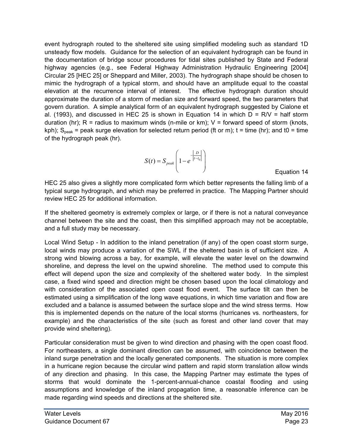event hydrograph routed to the sheltered site using simplified modeling such as standard 1D unsteady flow models. Guidance for the selection of an equivalent hydrograph can be found in the documentation of bridge scour procedures for tidal sites published by State and Federal highway agencies (e.g., see Federal Highway Administration Hydraulic Engineering [2004] Circular 25 [HEC 25] or Sheppard and Miller, 2003). The hydrograph shape should be chosen to mimic the hydrograph of a typical storm, and should have an amplitude equal to the coastal elevation at the recurrence interval of interest. The effective hydrograph duration should approximate the duration of a storm of median size and forward speed, the two parameters that govern duration. A simple analytical form of an equivalent hydrograph suggested by Cialone et al. (1993), and discussed in HEC 25 is shown in Equation 14 in which  $D = R/V =$  half storm duration (hr);  $R =$  radius to maximum winds (n-mile or km);  $V =$  forward speed of storm (knots, kph);  $S_{peak}$  = peak surge elevation for selected return period (ft or m); t = time (hr); and t0 = time of the hydrograph peak (hr).

$$
S(t) = S_{\text{peak}} \left( 1 - e^{-\left| \frac{D}{t - t_0} \right|} \right)
$$

Equation 14

HEC 25 also gives a slightly more complicated form which better represents the falling limb of a typical surge hydrograph, and which may be preferred in practice. The Mapping Partner should review HEC 25 for additional information.

If the sheltered geometry is extremely complex or large, or if there is not a natural conveyance channel between the site and the coast, then this simplified approach may not be acceptable, and a full study may be necessary.

Local Wind Setup - In addition to the inland penetration (if any) of the open coast storm surge, local winds may produce a variation of the SWL if the sheltered basin is of sufficient size. A strong wind blowing across a bay, for example, will elevate the water level on the downwind shoreline, and depress the level on the upwind shoreline. The method used to compute this effect will depend upon the size and complexity of the sheltered water body. In the simplest case, a fixed wind speed and direction might be chosen based upon the local climatology and with consideration of the associated open coast flood event. The surface tilt can then be estimated using a simplification of the long wave equations, in which time variation and flow are excluded and a balance is assumed between the surface slope and the wind stress terms. How this is implemented depends on the nature of the local storms (hurricanes vs. northeasters, for example) and the characteristics of the site (such as forest and other land cover that may provide wind sheltering).

Particular consideration must be given to wind direction and phasing with the open coast flood. For northeasters, a single dominant direction can be assumed, with coincidence between the inland surge penetration and the locally generated components. The situation is more complex in a hurricane region because the circular wind pattern and rapid storm translation allow winds of any direction and phasing. In this case, the Mapping Partner may estimate the types of storms that would dominate the 1-percent-annual-chance coastal flooding and using assumptions and knowledge of the inland propagation time, a reasonable inference can be made regarding wind speeds and directions at the sheltered site.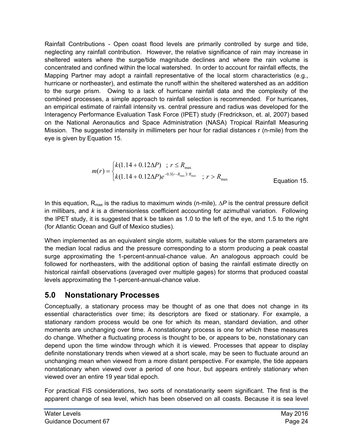Rainfall Contributions - Open coast flood levels are primarily controlled by surge and tide, neglecting any rainfall contribution. However, the relative significance of rain may increase in sheltered waters where the surge/tide magnitude declines and where the rain volume is concentrated and confined within the local watershed. In order to account for rainfall effects, the Mapping Partner may adopt a rainfall representative of the local storm characteristics (e.g., hurricane or northeaster), and estimate the runoff within the sheltered watershed as an addition to the surge prism. Owing to a lack of hurricane rainfall data and the complexity of the combined processes, a simple approach to rainfall selection is recommended. For hurricanes, an empirical estimate of rainfall intensity vs. central pressure and radius was developed for the Interagency Performance Evaluation Task Force (IPET) study (Fredrickson, et. al, 2007) based on the National Aeronautics and Space Administration (NASA) Tropical Rainfall Measuring Mission. The suggested intensity in millimeters per hour for radial distances r (n-mile) from the eye is given by Equation 15.

$$
m(r) = \begin{cases} k(1.14 + 0.12\Delta P) & ; r \le R_{\text{max}} \\ k(1.14 + 0.12\Delta P)e^{-0.3(r - R_{\text{max}})/R_{\text{max}}} & ; r > R_{\text{max}} \end{cases}
$$
 Equation 15.

In this equation, R<sub>max</sub> is the radius to maximum winds (n-mile), ΔP is the central pressure deficit in millibars, and *k* is a dimensionless coefficient accounting for azimuthal variation. Following the IPET study, it is suggested that k be taken as 1.0 to the left of the eye, and 1.5 to the right (for Atlantic Ocean and Gulf of Mexico studies).

When implemented as an equivalent single storm, suitable values for the storm parameters are the median local radius and the pressure corresponding to a storm producing a peak coastal surge approximating the 1-percent-annual-chance value. An analogous approach could be followed for northeasters, with the additional option of basing the rainfall estimate directly on historical rainfall observations (averaged over multiple gages) for storms that produced coastal levels approximating the 1-percent-annual-chance value.

## <span id="page-27-0"></span>**5.0 Nonstationary Processes**

Conceptually, a stationary process may be thought of as one that does not change in its essential characteristics over time; its descriptors are fixed or stationary. For example, a stationary random process would be one for which its mean, standard deviation, and other moments are unchanging over time. A nonstationary process is one for which these measures do change. Whether a fluctuating process is thought to be, or appears to be, nonstationary can depend upon the time window through which it is viewed. Processes that appear to display definite nonstationary trends when viewed at a short scale, may be seen to fluctuate around an unchanging mean when viewed from a more distant perspective. For example, the tide appears nonstationary when viewed over a period of one hour, but appears entirely stationary when viewed over an entire 19 year tidal epoch.

For practical FIS considerations, two sorts of nonstationarity seem significant. The first is the apparent change of sea level, which has been observed on all coasts. Because it is sea level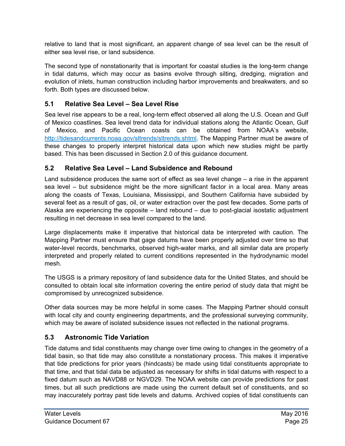relative to land that is most significant, an apparent change of sea level can be the result of either sea level rise, or land subsidence.

The second type of nonstationarity that is important for coastal studies is the long-term change in tidal datums, which may occur as basins evolve through silting, dredging, migration and evolution of inlets, human construction including harbor improvements and breakwaters, and so forth. Both types are discussed below.

#### <span id="page-28-0"></span>**5.1 Relative Sea Level – Sea Level Rise**

Sea level rise appears to be a real, long-term effect observed all along the U.S. Ocean and Gulf of Mexico coastlines. Sea level trend data for individual stations along the Atlantic Ocean, Gulf of Mexico, and Pacific Ocean coasts can be obtained from NOAA's website, [http://tidesandcurrents.noaa.gov/sltrends/sltrends.shtml.](http://tidesandcurrents.noaa.gov/sltrends/sltrends.shtml) The Mapping Partner must be aware of these changes to properly interpret historical data upon which new studies might be partly based. This has been discussed in Section 2.0 of this guidance document.

#### <span id="page-28-1"></span>**5.2 Relative Sea Level – Land Subsidence and Rebound**

Land subsidence produces the same sort of effect as sea level change – a rise in the apparent sea level – but subsidence might be the more significant factor in a local area. Many areas along the coasts of Texas, Louisiana, Mississippi, and Southern California have subsided by several feet as a result of gas, oil, or water extraction over the past few decades. Some parts of Alaska are experiencing the opposite – land rebound – due to post-glacial isostatic adjustment resulting in net decrease in sea level compared to the land.

Large displacements make it imperative that historical data be interpreted with caution. The Mapping Partner must ensure that gage datums have been properly adjusted over time so that water-level records, benchmarks, observed high-water marks, and all similar data are properly interpreted and properly related to current conditions represented in the hydrodynamic model mesh.

The USGS is a primary repository of land subsidence data for the United States, and should be consulted to obtain local site information covering the entire period of study data that might be compromised by unrecognized subsidence.

Other data sources may be more helpful in some cases. The Mapping Partner should consult with local city and county engineering departments, and the professional surveying community, which may be aware of isolated subsidence issues not reflected in the national programs.

#### <span id="page-28-2"></span>**5.3 Astronomic Tide Variation**

Tide datums and tidal constituents may change over time owing to changes in the geometry of a tidal basin, so that tide may also constitute a nonstationary process. This makes it imperative that tide predictions for prior years (hindcasts) be made using tidal constituents appropriate to that time, and that tidal data be adjusted as necessary for shifts in tidal datums with respect to a fixed datum such as NAVD88 or NGVD29. The NOAA website can provide predictions for past times, but all such predictions are made using the current default set of constituents, and so may inaccurately portray past tide levels and datums. Archived copies of tidal constituents can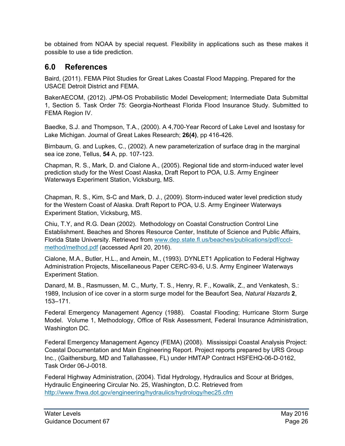be obtained from NOAA by special request. Flexibility in applications such as these makes it possible to use a tide prediction.

## <span id="page-29-0"></span>**6.0 References**

Baird, (2011). FEMA Pilot Studies for Great Lakes Coastal Flood Mapping. Prepared for the USACE Detroit District and FEMA.

BakerAECOM, (2012). JPM-OS Probabilistic Model Development; Intermediate Data Submittal 1, Section 5. Task Order 75: Georgia-Northeast Florida Flood Insurance Study. Submitted to FEMA Region IV.

Baedke, S.J. and Thompson, T.A., (2000). A 4,700-Year Record of Lake Level and Isostasy for Lake Michigan. Journal of Great Lakes Research; **26(4)**, pp 416-426.

Birnbaum, G. and Lupkes, C., (2002). A new parameterization of surface drag in the marginal sea ice zone, Tellus, **54** A, pp. 107-123.

Chapman, R. S., Mark, D. and Cialone A., (2005). Regional tide and storm-induced water level prediction study for the West Coast Alaska, Draft Report to POA, U.S. Army Engineer Waterways Experiment Station, Vicksburg, MS.

Chapman, R. S., Kim, S-C and Mark, D. J., (2009). Storm-induced water level prediction study for the Western Coast of Alaska. Draft Report to POA, U.S. Army Engineer Waterways Experiment Station, Vicksburg, MS.

Chiu, T.Y, and R.G. Dean (2002). Methodology on Coastal Construction Control Line Establishment. Beaches and Shores Resource Center, Institute of Science and Public Affairs, Florida State University. Retrieved from [www.dep.state.fl.us/beaches/publications/pdf/cccl](http://www.dep.state.fl.us/beaches/publications/pdf/cccl-method/method.pdf)[method/method.pdf](http://www.dep.state.fl.us/beaches/publications/pdf/cccl-method/method.pdf) (accessed April 20, 2016).

Cialone, M.A., Butler, H.L., and Amein, M., (1993). DYNLET1 Application to Federal Highway Administration Projects, Miscellaneous Paper CERC-93-6, U.S. Army Engineer Waterways Experiment Station.

Danard, M. B., Rasmussen, M. C., Murty, T. S., Henry, R. F., Kowalik, Z., and Venkatesh, S.: 1989, Inclusion of ice cover in a storm surge model for the Beaufort Sea, *Natural Hazards* **2**, 153–171.

Federal Emergency Management Agency (1988). Coastal Flooding; Hurricane Storm Surge Model. Volume 1, Methodology, Office of Risk Assessment, Federal Insurance Administration, Washington DC.

Federal Emergency Management Agency (FEMA) (2008). Mississippi Coastal Analysis Project: Coastal Documentation and Main Engineering Report. Project reports prepared by URS Group Inc., (Gaithersburg, MD and Tallahassee, FL) under HMTAP Contract HSFEHQ-06-D-0162, Task Order 06-J-0018.

Federal Highway Administration, (2004). Tidal Hydrology, Hydraulics and Scour at Bridges, Hydraulic Engineering Circular No. 25, Washington, D.C. Retrieved from <http://www.fhwa.dot.gov/engineering/hydraulics/hydrology/hec25.cfm>